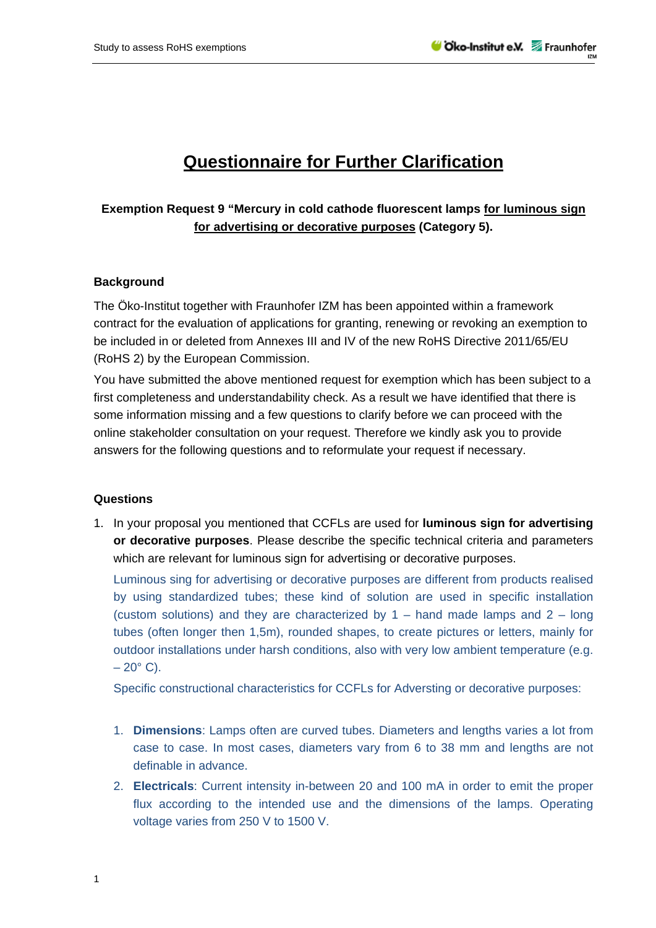## **Questionnaire for Further Clarification**

## **Exemption Request 9 "Mercury in cold cathode fluorescent lamps for luminous sign for advertising or decorative purposes (Category 5).**

## **Background**

The Öko-Institut together with Fraunhofer IZM has been appointed within a framework contract for the evaluation of applications for granting, renewing or revoking an exemption to be included in or deleted from Annexes III and IV of the new RoHS Directive 2011/65/EU (RoHS 2) by the European Commission.

You have submitted the above mentioned request for exemption which has been subject to a first completeness and understandability check. As a result we have identified that there is some information missing and a few questions to clarify before we can proceed with the online stakeholder consultation on your request. Therefore we kindly ask you to provide answers for the following questions and to reformulate your request if necessary.

## **Questions**

1. In your proposal you mentioned that CCFLs are used for **luminous sign for advertising or decorative purposes**. Please describe the specific technical criteria and parameters which are relevant for luminous sign for advertising or decorative purposes.

Luminous sing for advertising or decorative purposes are different from products realised by using standardized tubes; these kind of solution are used in specific installation (custom solutions) and they are characterized by  $1 -$  hand made lamps and  $2 -$  long tubes (often longer then 1,5m), rounded shapes, to create pictures or letters, mainly for outdoor installations under harsh conditions, also with very low ambient temperature (e.g.  $-20^{\circ}$  C).

Specific constructional characteristics for CCFLs for Adversting or decorative purposes:

- 1. **Dimensions**: Lamps often are curved tubes. Diameters and lengths varies a lot from case to case. In most cases, diameters vary from 6 to 38 mm and lengths are not definable in advance.
- 2. **Electricals**: Current intensity in-between 20 and 100 mA in order to emit the proper flux according to the intended use and the dimensions of the lamps. Operating voltage varies from 250 V to 1500 V.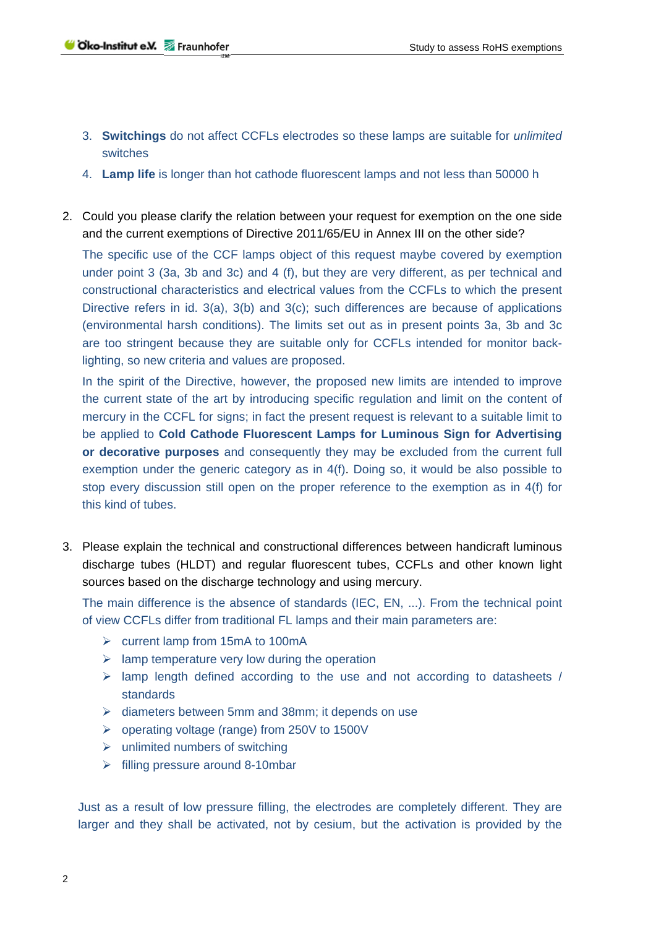- 3. **Switchings** do not affect CCFLs electrodes so these lamps are suitable for *unlimited* switches
- 4. **Lamp life** is longer than hot cathode fluorescent lamps and not less than 50000 h
- 2. Could you please clarify the relation between your request for exemption on the one side and the current exemptions of Directive 2011/65/EU in Annex III on the other side?

The specific use of the CCF lamps object of this request maybe covered by exemption under point 3 (3a, 3b and 3c) and 4 (f), but they are very different, as per technical and constructional characteristics and electrical values from the CCFLs to which the present Directive refers in id. 3(a), 3(b) and 3(c); such differences are because of applications (environmental harsh conditions). The limits set out as in present points 3a, 3b and 3c are too stringent because they are suitable only for CCFLs intended for monitor backlighting, so new criteria and values are proposed.

In the spirit of the Directive, however, the proposed new limits are intended to improve the current state of the art by introducing specific regulation and limit on the content of mercury in the CCFL for signs; in fact the present request is relevant to a suitable limit to be applied to **Cold Cathode Fluorescent Lamps for Luminous Sign for Advertising or decorative purposes** and consequently they may be excluded from the current full exemption under the generic category as in 4(f). Doing so, it would be also possible to stop every discussion still open on the proper reference to the exemption as in 4(f) for this kind of tubes.

3. Please explain the technical and constructional differences between handicraft luminous discharge tubes (HLDT) and regular fluorescent tubes, CCFLs and other known light sources based on the discharge technology and using mercury.

The main difference is the absence of standards (IEC, EN, ...). From the technical point of view CCFLs differ from traditional FL lamps and their main parameters are:

- $\triangleright$  current lamp from 15mA to 100mA
- $\triangleright$  lamp temperature very low during the operation
- $\triangleright$  lamp length defined according to the use and not according to datasheets / standards
- $\triangleright$  diameters between 5mm and 38mm; it depends on use
- operating voltage (range) from 250V to 1500V
- $\triangleright$  unlimited numbers of switching
- $\triangleright$  filling pressure around 8-10mbar

Just as a result of low pressure filling, the electrodes are completely different. They are larger and they shall be activated, not by cesium, but the activation is provided by the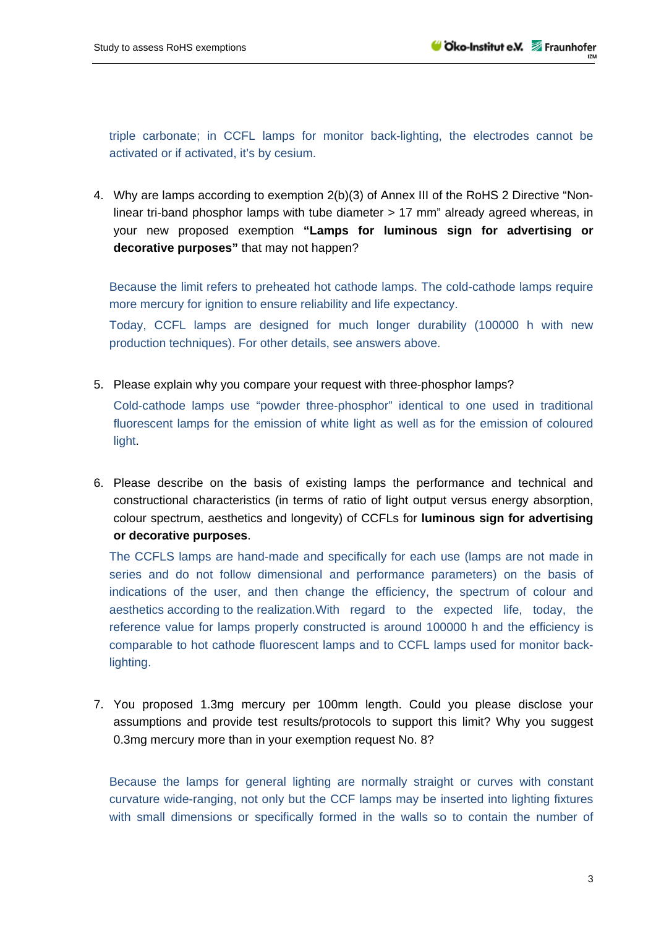triple carbonate; in CCFL lamps for monitor back-lighting, the electrodes cannot be activated or if activated, it's by cesium.

4. Why are lamps according to exemption 2(b)(3) of Annex III of the RoHS 2 Directive "Nonlinear tri-band phosphor lamps with tube diameter > 17 mm" already agreed whereas, in your new proposed exemption **"Lamps for luminous sign for advertising or decorative purposes"** that may not happen?

Because the limit refers to preheated hot cathode lamps. The cold-cathode lamps require more mercury for ignition to ensure reliability and life expectancy.

Today, CCFL lamps are designed for much longer durability (100000 h with new production techniques). For other details, see answers above.

5. Please explain why you compare your request with three-phosphor lamps?

Cold-cathode lamps use "powder three-phosphor" identical to one used in traditional fluorescent lamps for the emission of white light as well as for the emission of coloured light.

6. Please describe on the basis of existing lamps the performance and technical and constructional characteristics (in terms of ratio of light output versus energy absorption, colour spectrum, aesthetics and longevity) of CCFLs for **luminous sign for advertising or decorative purposes**.

The CCFLS lamps are hand-made and specifically for each use (lamps are not made in series and do not follow dimensional and performance parameters) on the basis of indications of the user, and then change the efficiency, the spectrum of colour and aesthetics according to the realization.With regard to the expected life, today, the reference value for lamps properly constructed is around 100000 h and the efficiency is comparable to hot cathode fluorescent lamps and to CCFL lamps used for monitor backlighting.

7. You proposed 1.3mg mercury per 100mm length. Could you please disclose your assumptions and provide test results/protocols to support this limit? Why you suggest 0.3mg mercury more than in your exemption request No. 8?

Because the lamps for general lighting are normally straight or curves with constant curvature wide-ranging, not only but the CCF lamps may be inserted into lighting fixtures with small dimensions or specifically formed in the walls so to contain the number of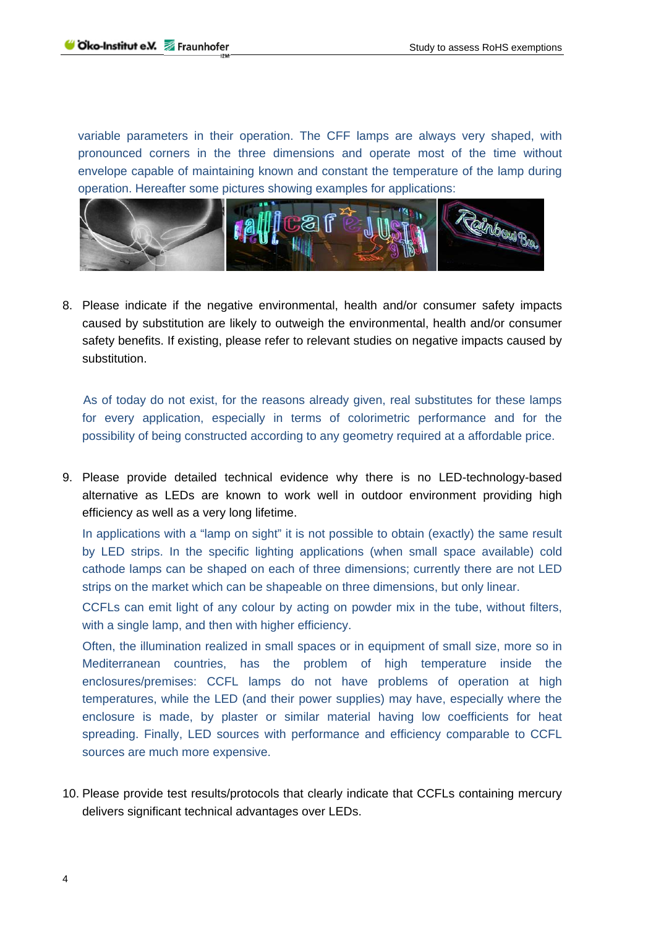variable parameters in their operation. The CFF lamps are always very shaped, with pronounced corners in the three dimensions and operate most of the time without envelope capable of maintaining known and constant the temperature of the lamp during operation. Hereafter some pictures showing examples for applications:



8. Please indicate if the negative environmental, health and/or consumer safety impacts caused by substitution are likely to outweigh the environmental, health and/or consumer safety benefits. If existing, please refer to relevant studies on negative impacts caused by substitution.

 As of today do not exist, for the reasons already given, real substitutes for these lamps for every application, especially in terms of colorimetric performance and for the possibility of being constructed according to any geometry required at a affordable price.

9. Please provide detailed technical evidence why there is no LED-technology-based alternative as LEDs are known to work well in outdoor environment providing high efficiency as well as a very long lifetime.

In applications with a "lamp on sight" it is not possible to obtain (exactly) the same result by LED strips. In the specific lighting applications (when small space available) cold cathode lamps can be shaped on each of three dimensions; currently there are not LED strips on the market which can be shapeable on three dimensions, but only linear.

CCFLs can emit light of any colour by acting on powder mix in the tube, without filters, with a single lamp, and then with higher efficiency.

Often, the illumination realized in small spaces or in equipment of small size, more so in Mediterranean countries, has the problem of high temperature inside the enclosures/premises: CCFL lamps do not have problems of operation at high temperatures, while the LED (and their power supplies) may have, especially where the enclosure is made, by plaster or similar material having low coefficients for heat spreading. Finally, LED sources with performance and efficiency comparable to CCFL sources are much more expensive.

10. Please provide test results/protocols that clearly indicate that CCFLs containing mercury delivers significant technical advantages over LEDs.